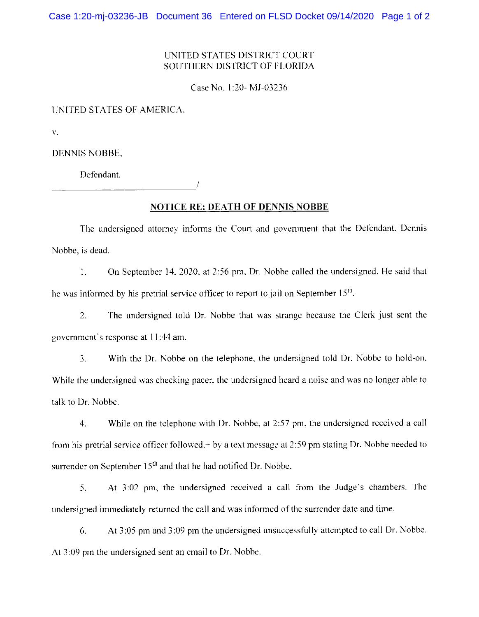## UNITED STATES DISTRICT COURT SOUTHERN DISTRICT OF FLORIDA

Case No. 1:20- MJ-03236

UNITED STATES OF AMERICA.

 $\bar{V}$ .

**DENNIS NOBBE,** 

Defendant.

**NOTICE RE: DEATH OF DENNIS NOBBE** 

The undersigned attorney informs the Court and government that the Defendant. Dennis Nobbe, is dead.

 $1.$ On September 14, 2020, at 2:56 pm, Dr. Nobbe called the undersigned. He said that he was informed by his pretrial service officer to report to jail on September 15<sup>th</sup>.

 $\overline{2}$ . The undersigned told Dr. Nobbe that was strange because the Clerk just sent the government's response at 11:44 am.

 $\overline{3}$ . With the Dr. Nobbe on the telephone, the undersigned told Dr. Nobbe to hold-on. While the undersigned was checking pacer, the undersigned heard a noise and was no longer able to talk to Dr. Nobbe.

 $4.$ While on the telephone with Dr. Nobbe, at 2:57 pm, the undersigned received a call from his pretrial service officer followed, + by a text message at 2:59 pm stating Dr. Nobbe needed to surrender on September 15<sup>th</sup> and that he had notified Dr. Nobbe.

At 3:02 pm, the undersigned received a call from the Judge's chambers. The  $5.$ undersigned immediately returned the call and was informed of the surrender date and time.

At 3:05 pm and 3:09 pm the undersigned unsuccessfully attempted to call Dr. Nobbe. 6. At 3:09 pm the undersigned sent an email to Dr. Nobbe.